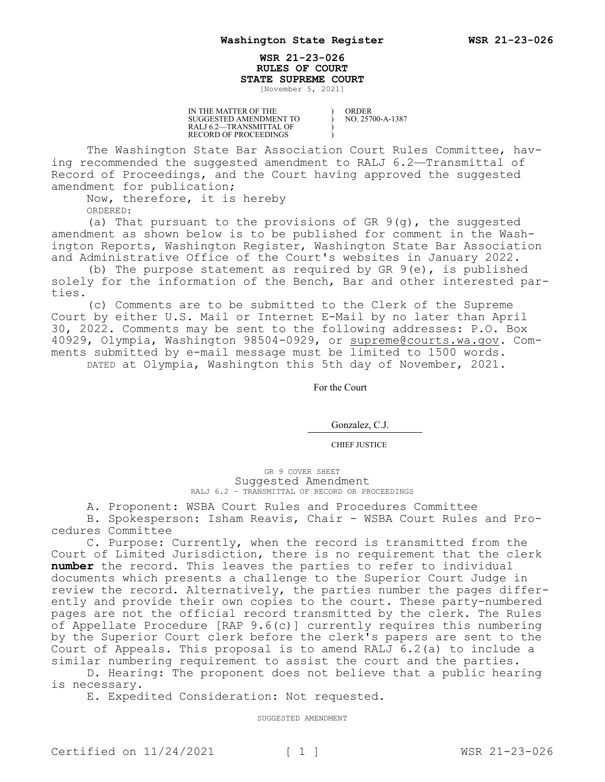## **WSR 21-23-026 RULES OF COURT STATE SUPREME COURT**

) ) ) )

[November 5, 2021]

IN THE MATTER OF THE SUGGESTED AMENDMENT TO RALJ 6.2—TRANSMITTAL OF RECORD OF PROCEEDINGS

ORDER NO. 25700-A-1387

The Washington State Bar Association Court Rules Committee, having recommended the suggested amendment to RALJ 6.2—Transmittal of Record of Proceedings, and the Court having approved the suggested amendment for publication;

Now, therefore, it is hereby

ORDERED:

(a) That pursuant to the provisions of GR 9(g), the suggested amendment as shown below is to be published for comment in the Washington Reports, Washington Register, Washington State Bar Association and Administrative Office of the Court's websites in January 2022.

(b) The purpose statement as required by GR 9(e), is published solely for the information of the Bench, Bar and other interested parties.

(c) Comments are to be submitted to the Clerk of the Supreme Court by either U.S. Mail or Internet E-Mail by no later than April 30, 2022. Comments may be sent to the following addresses: P.O. Box 40929, Olympia, Washington 98504-0929, or supreme@courts.wa.qov. Comments submitted by e-mail message must be limited to 1500 words. DATED at Olympia, Washington this 5th day of November, 2021.

For the Court

Gonzalez, C.J.

CHIEF JUSTICE

GR 9 COVER SHEET Suggested Amendment RALJ 6.2 – TRANSMITTAL OF RECORD OR PROCEEDINGS

A. Proponent: WSBA Court Rules and Procedures Committee

B. Spokesperson: Isham Reavis, Chair - WSBA Court Rules and Procedures Committee

C. Purpose: Currently, when the record is transmitted from the Court of Limited Jurisdiction, there is no requirement that the clerk **number** the record. This leaves the parties to refer to individual documents which presents a challenge to the Superior Court Judge in review the record. Alternatively, the parties number the pages differently and provide their own copies to the court. These party-numbered pages are not the official record transmitted by the clerk. The Rules of Appellate Procedure [RAP 9.6(c)] currently requires this numbering by the Superior Court clerk before the clerk's papers are sent to the Court of Appeals. This proposal is to amend RALJ 6.2(a) to include a similar numbering requirement to assist the court and the parties.

D. Hearing: The proponent does not believe that a public hearing is necessary.

E. Expedited Consideration: Not requested.

SUGGESTED AMENDMENT